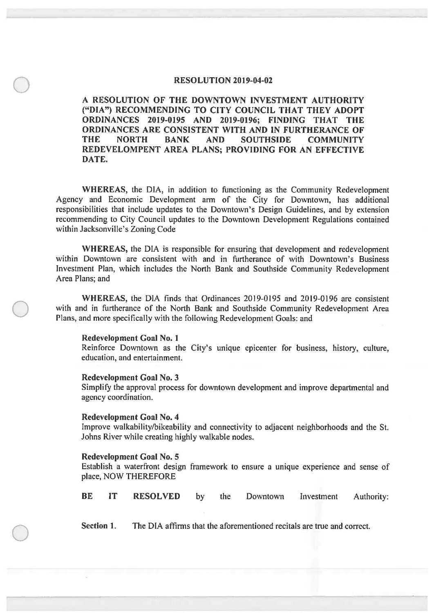# **RESOLUTION 2019-04-02**

**A RESOLUTION OF THE DOWNTOWN INVESTMENT AUTHORITY ("DIA") RECOMMENDING TO CITY COUNCIL THAT THEY ADOPT ORDINANCES 2019-0195 AND 2019-0196; FINDING THAT THE ORDINANCES ARE CONSISTENT WITH AND IN FURTHERANCE OF COMMUNITY REDEVELOMPENT AREA PLANS; PROVIDING FOR AN EFFECTIVE DATE.** 

**WHEREAS,** the DIA, in addition to functioning as the Community Redevelopment Agency and Economic Development ann of the City for Downtown, has additional responsibilities that include updates to the Downtown's Design Guidelines, and by extension recommending to City Council updates to the Downtown Development Regulations contained within Jacksonville's Zoning Code

**WHEREAS,** the DIA is responsible for ensuring that development and redevelopment within Downtown are consistent with and in furtherance of with Downtown's Business Investment Plan, which includes the North Bank and Southside Community Redevelopment Area Plans; and

**WHEREAS,** the DIA finds that Ordinances 2019-0195 and 20I9-0196 are consistent with and in furtherance of the North Bank and Southside Community Redevelopment Area Plans, and more specifically with the following Redevelopment Goals: and

# **Redevelopment Goal No. 1**

 $\bigcirc$ 

 $\bigcirc$ 

 $\bigcirc$ 

Reinforce Downtown as the City's unique epicenter for business, history, culture, education, and entertainment.

#### **Redevelopment Goal No. 3**

Simplify the approval process for downtown development and improve departmental and agency coordination.

#### **Redevelopment Goal No. 4**

Improve walkability/bikeability and connectivity to adjacent neighborhoods and the St. Johns River while creating highly walkable nodes.

### **Redevelopment Goal No. 5**

Establish a waterfront design framework to ensure a unique experience and sense of place, NOW THEREFORE

|  | <b>BE</b> | IT | <b>RESOLVED</b> |  | the | Downtown | Investment | Authority: |
|--|-----------|----|-----------------|--|-----|----------|------------|------------|
|--|-----------|----|-----------------|--|-----|----------|------------|------------|

**Section 1.** The DIA affirms that the aforementioned recitals are true and correct.